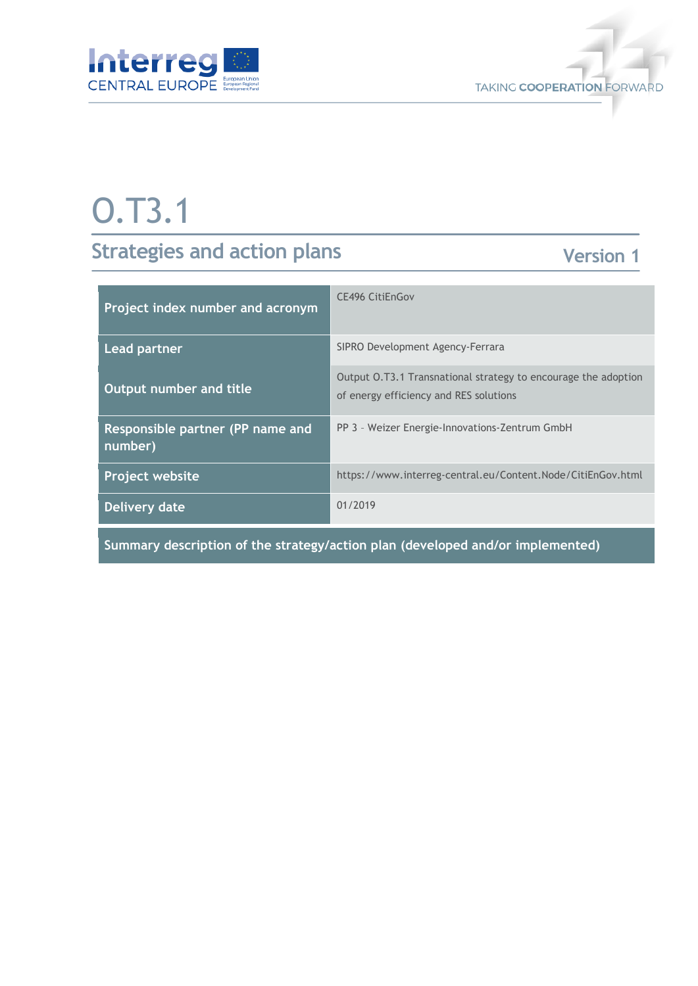



# O.T3.1

## **Strategies and action plans**

### **Version 1**

| Project index number and acronym            | CE496 CitiEnGov                                                                                          |
|---------------------------------------------|----------------------------------------------------------------------------------------------------------|
| Lead partner                                | SIPRO Development Agency-Ferrara                                                                         |
| Output number and title                     | Output 0.T3.1 Transnational strategy to encourage the adoption<br>of energy efficiency and RES solutions |
| Responsible partner (PP name and<br>number) | PP 3 - Weizer Energie-Innovations-Zentrum GmbH                                                           |
| <b>Project website</b>                      | https://www.interreg-central.eu/Content.Node/CitiEnGov.html                                              |
| Delivery date                               | 01/2019                                                                                                  |
|                                             |                                                                                                          |

**Summary description of the strategy/action plan (developed and/or implemented)**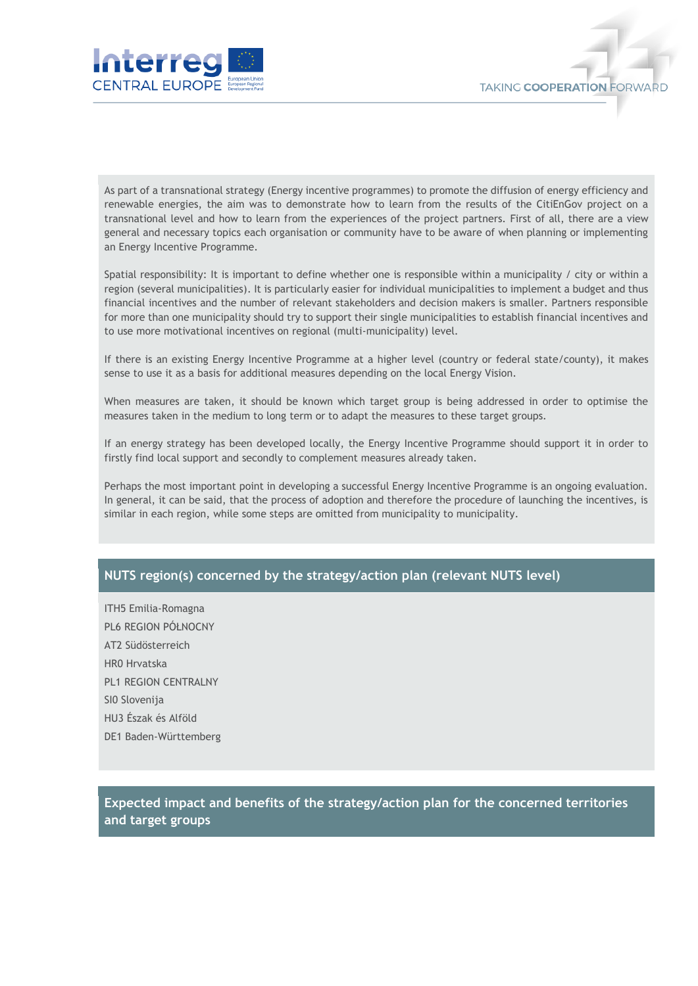



As part of a transnational strategy (Energy incentive programmes) to promote the diffusion of energy efficiency and renewable energies, the aim was to demonstrate how to learn from the results of the CitiEnGov project on a transnational level and how to learn from the experiences of the project partners. First of all, there are a view general and necessary topics each organisation or community have to be aware of when planning or implementing an Energy Incentive Programme.

Spatial responsibility: It is important to define whether one is responsible within a municipality / city or within a region (several municipalities). It is particularly easier for individual municipalities to implement a budget and thus financial incentives and the number of relevant stakeholders and decision makers is smaller. Partners responsible for more than one municipality should try to support their single municipalities to establish financial incentives and to use more motivational incentives on regional (multi-municipality) level.

If there is an existing Energy Incentive Programme at a higher level (country or federal state/county), it makes sense to use it as a basis for additional measures depending on the local Energy Vision.

When measures are taken, it should be known which target group is being addressed in order to optimise the measures taken in the medium to long term or to adapt the measures to these target groups.

If an energy strategy has been developed locally, the Energy Incentive Programme should support it in order to firstly find local support and secondly to complement measures already taken.

Perhaps the most important point in developing a successful Energy Incentive Programme is an ongoing evaluation. In general, it can be said, that the process of adoption and therefore the procedure of launching the incentives, is similar in each region, while some steps are omitted from municipality to municipality.

#### **NUTS region(s) concerned by the strategy/action plan (relevant NUTS level)**

ITH5 Emilia-Romagna PL6 REGION PÓŁNOCNY AT2 Südösterreich HR0 Hrvatska PL1 REGION CENTRALNY SI0 Slovenija HU3 Észak és Alföld DE1 Baden-Württemberg

**Expected impact and benefits of the strategy/action plan for the concerned territories and target groups**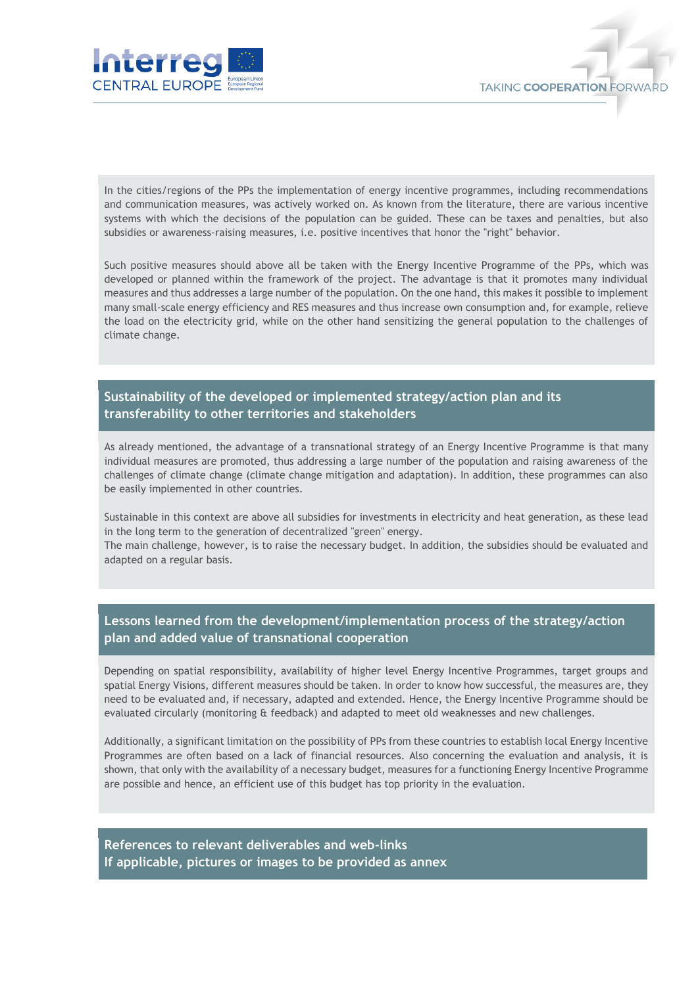



In the cities/regions of the PPs the implementation of energy incentive programmes, including recommendations and communication measures, was actively worked on. As known from the literature, there are various incentive systems with which the decisions of the population can be guided. These can be taxes and penalties, but also subsidies or awareness-raising measures, i.e. positive incentives that honor the "right" behavior.

Such positive measures should above all be taken with the Energy Incentive Programme of the PPs, which was developed or planned within the framework of the project. The advantage is that it promotes many individual measures and thus addresses a large number of the population. On the one hand, this makes it possible to implement many small-scale energy efficiency and RES measures and thus increase own consumption and, for example, relieve the load on the electricity grid, while on the other hand sensitizing the general population to the challenges of climate change.

#### **Sustainability of the developed or implemented strategy/action plan and its transferability to other territories and stakeholders**

As already mentioned, the advantage of a transnational strategy of an Energy Incentive Programme is that many individual measures are promoted, thus addressing a large number of the population and raising awareness of the challenges of climate change (climate change mitigation and adaptation). In addition, these programmes can also be easily implemented in other countries.

Sustainable in this context are above all subsidies for investments in electricity and heat generation, as these lead in the long term to the generation of decentralized "green" energy.

The main challenge, however, is to raise the necessary budget. In addition, the subsidies should be evaluated and adapted on a regular basis.

#### **Lessons learned from the development/implementation process of the strategy/action plan and added value of transnational cooperation**

Depending on spatial responsibility, availability of higher level Energy Incentive Programmes, target groups and spatial Energy Visions, different measures should be taken. In order to know how successful, the measures are, they need to be evaluated and, if necessary, adapted and extended. Hence, the Energy Incentive Programme should be evaluated circularly (monitoring & feedback) and adapted to meet old weaknesses and new challenges.

Additionally, a significant limitation on the possibility of PPs from these countries to establish local Energy Incentive Programmes are often based on a lack of financial resources. Also concerning the evaluation and analysis, it is shown, that only with the availability of a necessary budget, measures for a functioning Energy Incentive Programme are possible and hence, an efficient use of this budget has top priority in the evaluation.

**References to relevant deliverables and web-links If applicable, pictures or images to be provided as annex**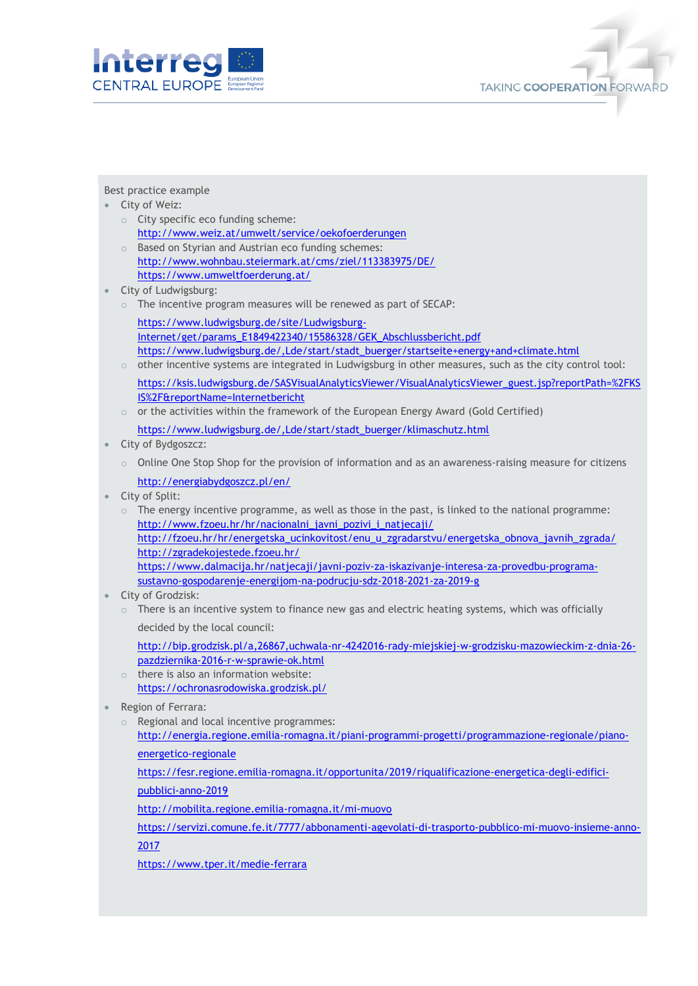



#### Best practice example

- City of Weiz:
	- o City specific eco funding scheme: <http://www.weiz.at/umwelt/service/oekofoerderungen>
	- o Based on Styrian and Austrian eco funding schemes: <http://www.wohnbau.steiermark.at/cms/ziel/113383975/DE/> <https://www.umweltfoerderung.at/>
- City of Ludwigsburg:
	- $\circ$  The incentive program measures will be renewed as part of SECAP: [https://www.ludwigsburg.de/site/Ludwigsburg-](https://www.ludwigsburg.de/site/Ludwigsburg-Internet/get/params_E1849422340/15586328/GEK_Abschlussbericht.pdf)
	- [Internet/get/params\\_E1849422340/15586328/GEK\\_Abschlussbericht.pdf](https://www.ludwigsburg.de/site/Ludwigsburg-Internet/get/params_E1849422340/15586328/GEK_Abschlussbericht.pdf) [https://www.ludwigsburg.de/,Lde/start/stadt\\_buerger/startseite+energy+and+climate.html](https://www.ludwigsburg.de/,Lde/start/stadt_buerger/startseite+energy+and+climate.html)
	- $\circ$  other incentive systems are integrated in Ludwigsburg in other measures, such as the city control tool: [https://ksis.ludwigsburg.de/SASVisualAnalyticsViewer/VisualAnalyticsViewer\\_guest.jsp?reportPath=%2FKS](https://ksis.ludwigsburg.de/SASVisualAnalyticsViewer/VisualAnalyticsViewer_guest.jsp?reportPath=%2FKSIS%2F&reportName=Internetbericht) [IS%2F&reportName=Internetbericht](https://ksis.ludwigsburg.de/SASVisualAnalyticsViewer/VisualAnalyticsViewer_guest.jsp?reportPath=%2FKSIS%2F&reportName=Internetbericht)
	- $\circ$  or the activities within the framework of the European Energy Award (Gold Certified)
	- [https://www.ludwigsburg.de/,Lde/start/stadt\\_buerger/klimaschutz.html](https://www.ludwigsburg.de/,Lde/start/stadt_buerger/klimaschutz.html)
- City of Bydgoszcz:
	- $\circ$  Online One Stop Shop for the provision of information and as an awareness-raising measure for citizens <http://energiabydgoszcz.pl/en/>
- City of Split:
	- $\circ$  The energy incentive programme, as well as those in the past, is linked to the national programme: [http://www.fzoeu.hr/hr/nacionalni\\_javni\\_pozivi\\_i\\_natjecaji/](http://www.fzoeu.hr/hr/nacionalni_javni_pozivi_i_natjecaji/) [http://fzoeu.hr/hr/energetska\\_ucinkovitost/enu\\_u\\_zgradarstvu/energetska\\_obnova\\_javnih\\_zgrada/](http://fzoeu.hr/hr/energetska_ucinkovitost/enu_u_zgradarstvu/energetska_obnova_javnih_zgrada/) <http://zgradekojestede.fzoeu.hr/> [https://www.dalmacija.hr/natjecaji/javni-poziv-za-iskazivanje-interesa-za-provedbu-programa](https://www.dalmacija.hr/natjecaji/javni-poziv-za-iskazivanje-interesa-za-provedbu-programa-sustavno-gospodarenje-energijom-na-podrucju-sdz-2018-2021-za-2019-g)[sustavno-gospodarenje-energijom-na-podrucju-sdz-2018-2021-za-2019-g](https://www.dalmacija.hr/natjecaji/javni-poziv-za-iskazivanje-interesa-za-provedbu-programa-sustavno-gospodarenje-energijom-na-podrucju-sdz-2018-2021-za-2019-g)
- City of Grodzisk:
	- $\circ$  There is an incentive system to finance new gas and electric heating systems, which was officially decided by the local council:
		- [http://bip.grodzisk.pl/a,26867,uchwala-nr-4242016-rady-miejskiej-w-grodzisku-mazowieckim-z-dnia-26](http://bip.grodzisk.pl/a,26867,uchwala-nr-4242016-rady-miejskiej-w-grodzisku-mazowieckim-z-dnia-26-pazdziernika-2016-r-w-sprawie-ok.html) [pazdziernika-2016-r-w-sprawie-ok.html](http://bip.grodzisk.pl/a,26867,uchwala-nr-4242016-rady-miejskiej-w-grodzisku-mazowieckim-z-dnia-26-pazdziernika-2016-r-w-sprawie-ok.html)
	- $\circ$  there is also an information website: <https://ochronasrodowiska.grodzisk.pl/>
- Region of Ferrara:
	- o Regional and local incentive programmes:
		- [http://energia.regione.emilia-romagna.it/piani-programmi-progetti/programmazione-regionale/piano](http://energia.regione.emilia-romagna.it/piani-programmi-progetti/programmazione-regionale/piano-energetico-regionale)[energetico-regionale](http://energia.regione.emilia-romagna.it/piani-programmi-progetti/programmazione-regionale/piano-energetico-regionale)
		- [https://fesr.regione.emilia-romagna.it/opportunita/2019/riqualificazione-energetica-degli-edifici-](https://fesr.regione.emilia-romagna.it/opportunita/2019/riqualificazione-energetica-degli-edifici-pubblici-anno-2019)
		- [pubblici-anno-2019](https://fesr.regione.emilia-romagna.it/opportunita/2019/riqualificazione-energetica-degli-edifici-pubblici-anno-2019)
		- <http://mobilita.regione.emilia-romagna.it/mi-muovo>
		- [https://servizi.comune.fe.it/7777/abbonamenti-agevolati-di-trasporto-pubblico-mi-muovo-insieme-anno-](https://servizi.comune.fe.it/7777/abbonamenti-agevolati-di-trasporto-pubblico-mi-muovo-insieme-anno-2017)[2017](https://servizi.comune.fe.it/7777/abbonamenti-agevolati-di-trasporto-pubblico-mi-muovo-insieme-anno-2017)
		- <https://www.tper.it/medie-ferrara>